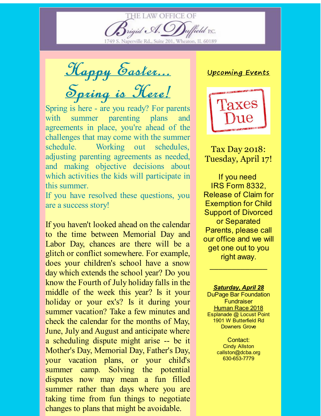Naperville Rd., Suite 201, Wheaton, IL 60189

rigid A.

**HE LAW OFFICE OF** 

Happy Easter... Spring is Here!

Spring is here - are you ready? For parents with summer parenting plans and agreements in place, you're ahead of the challenges that may come with the summer schedule. Working out schedules, adjusting parenting agreements as needed, and making objective decisions about which activities the kids will participate in this summer.

If you have resolved these questions, you are a success story!

If you haven't looked ahead on the calendar to the time between Memorial Day and Labor Day, chances are there will be a glitch or conflict somewhere. For example, does your children's school have a snow day which extends the school year? Do you know the Fourth of July holiday falls in the middle of the week this year? Is it your holiday or your ex's? Is it during your summer vacation? Take a few minutes and check the calendar for the months of May, June, July and August and anticipate where a scheduling dispute might arise -- be it Mother's Day, Memorial Day, Father's Day, your vacation plans, or your child's summer camp. Solving the potential disputes now may mean a fun filled summer rather than days where you are taking time from fun things to negotiate changes to plans that might be avoidable.

## Upcoming Events

field P.C.



Tax Day 2018: Tuesday, April 17!

If you need IRS Form 8332, Release of Claim for Exemption for Child Support of Divorced or Separated Parents, please call our office and we will get one out to you right away.

## *Saturday, April 28*

 $\mathcal{L}_\text{max}$  , we have the set of  $\mathcal{L}_\text{max}$ 

DuPage Bar Foundation **Fundraiser [Human](http://r20.rs6.net/tn.jsp?f=001ggrOwJO8sAQSzhjGW0_Juj7hQqFsRWdrlF9MHkftNg3zr7abqM7YJ9SUjhiWSMDcJePTq5ARLUVxWX5N7IVwwmUsqTQjvYUFrN_pBuhqa5IPISm9YzRBzRUBPvdRJu3Q0lepjU4w9tQDYLw77Lw5aYj1jEznVWBI6sVgChgVi-ZybrM8ohIUbeXFUp5oYm6e5AZ9JdUsXBJNzH70ARMvIbM_gOYFN8zoaz557mRnP_c=&c=&ch=) Race 2018** Esplanade @ Locust Point 1901 W Butterfield Rd Downers Grove

> Contact: Cindy Allston callston@dcba.org 630-653-7779